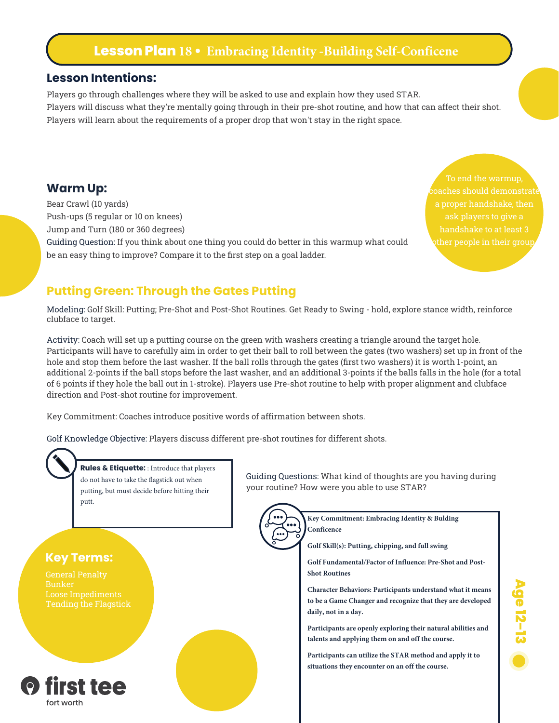# **Lesson Plan 18 • Embracing Identity -Building Self-Conficene**

### **Lesson Intentions:**

Players go through challenges where they will be asked to use and explain how they used STAR. Players will discuss what they're mentally going through in their pre-shot routine, and how that can affect their shot. Players will learn about the requirements of a proper drop that won't stay in the right space.

### **Warm Up:**

Bear Crawl (10 yards) Push-ups (5 regular or 10 on knees) Jump and Turn (180 or 360 degrees) Guiding Question: If you think about one thing you could do better in this warmup what could be an easy thing to improve? Compare it to the first step on a goal ladder.

To end the warmup, ask players to give a

## **Putting Green: Through the Gates Putting**

Modeling: Golf Skill: Putting; Pre-Shot and Post-Shot Routines. Get Ready to Swing - hold, explore stance width, reinforce clubface to target.

Activity: Coach will set up a putting course on the green with washers creating a triangle around the target hole. Participants will have to carefully aim in order to get their ball to roll between the gates (two washers) set up in front of the hole and stop them before the last washer. If the ball rolls through the gates (first two washers) it is worth 1-point, an additional 2-points if the ball stops before the last washer, and an additional 3-points if the balls falls in the hole (for a total of 6 points if they hole the ball out in 1-stroke). Players use Pre-shot routine to help with proper alignment and clubface direction and Post-shot routine for improvement.

Key Commitment: Coaches introduce positive words of affirmation between shots.

Golf Knowledge Objective: Players discuss different pre-shot routines for different shots.



**Rules & Etiquette:** : Introduce that players do not have to take the flagstick out when putting, but must decide before hitting their putt.

#### Guiding Questions: What kind of thoughts are you having during your routine? How were you able to use STAR?



**Key Commitment: Embracing Identity & Bulding Conficence**

**Golf Skill(s): Putting, chipping, and full swing**

**Golf Fundamental/Factor of Influence: Pre-Shot and Post-Shot Routines**

**Character Behaviors: Participants understand what it means to be a Game Changer and recognize that they are developed daily, not in a day.**

**Participants are openly exploring their natural abilities and talents and applying them on and off the course.**

**Participants can utilize the STAR method and apply it to situations they encounter on an off the course.**



**Key Terms:**

Loose Impediments Tending the Flagstick

Bunker